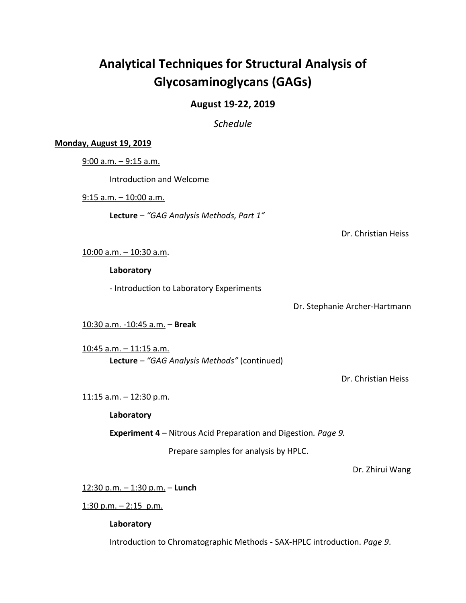# **Analytical Techniques for Structural Analysis of Glycosaminoglycans (GAGs)**

## **August 19-22, 2019**

*Schedule*

## **Monday, August 19, 2019**

9:00 a.m. – 9:15 a.m.

Introduction and Welcome

9:15 a.m. – 10:00 a.m.

**Lecture** – *"GAG Analysis Methods, Part 1"*

Dr. Christian Heiss

10:00 a.m. – 10:30 a.m.

**Laboratory**

- Introduction to Laboratory Experiments

Dr. Stephanie Archer-Hartmann

10:30 a.m. -10:45 a.m. – **Break**

10:45 a.m. – 11:15 a.m. **Lecture** *– "GAG Analysis Methods"* (continued)

Dr. Christian Heiss

## 11:15 a.m. – 12:30 p.m.

**Laboratory**

**Experiment 4** – Nitrous Acid Preparation and Digestion*. Page 9.*

Prepare samples for analysis by HPLC.

Dr. Zhirui Wang

12:30 p.m. – 1:30 p.m. – **Lunch**

1:30 p.m.  $-$  2:15 p.m.

**Laboratory**

Introduction to Chromatographic Methods - SAX-HPLC introduction. *Page 9*.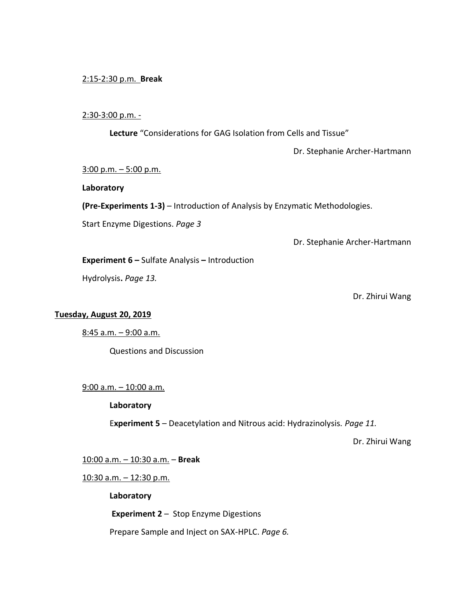## 2:15-2:30 p.m. **Break**

## 2:30-3:00 p.m. -

**Lecture** "Considerations for GAG Isolation from Cells and Tissue"

Dr. Stephanie Archer-Hartmann

 $3:00$  p.m.  $-5:00$  p.m.

## **Laboratory**

**(Pre-Experiments 1-3)** – Introduction of Analysis by Enzymatic Methodologies.

Start Enzyme Digestions. *Page 3*

Dr. Stephanie Archer-Hartmann

**Experiment 6 –** Sulfate Analysis **–** Introduction

Hydrolysis**.** *Page 13.*

Dr. Zhirui Wang

## **Tuesday, August 20, 2019**

8:45 a.m. – 9:00 a.m.

Questions and Discussion

9:00 a.m. – 10:00 a.m.

#### **Laboratory**

E**xperiment 5** – Deacetylation and Nitrous acid: Hydrazinolysis*. Page 11.*

Dr. Zhirui Wang

10:00 a.m. – 10:30 a.m. – **Break**

10:30 a.m. – 12:30 p.m.

**Laboratory**

**Experiment 2** – Stop Enzyme Digestions

Prepare Sample and Inject on SAX-HPLC. *Page 6.*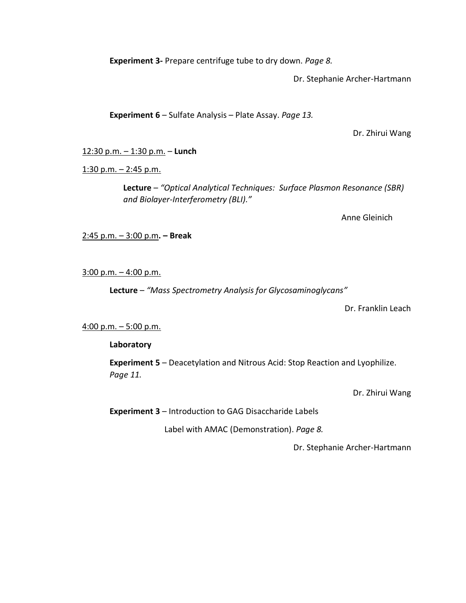**Experiment 3-** Prepare centrifuge tube to dry down. *Page 8.*

Dr. Stephanie Archer-Hartmann

**Experiment 6** – Sulfate Analysis – Plate Assay. *Page 13.*

Dr. Zhirui Wang

12:30 p.m. – 1:30 p.m. – **Lunch**

1:30 p.m.  $-$  2:45 p.m.

**Lecture** – *"Optical Analytical Techniques: Surface Plasmon Resonance (SBR) and Biolayer-Interferometry (BLI)."*

Anne Gleinich

2:45 p.m. – 3:00 p.m**. – Break**

 $3:00$  p.m.  $-4:00$  p.m.

**Lecture** – *"Mass Spectrometry Analysis for Glycosaminoglycans"*

Dr. Franklin Leach

## 4:00 p.m. – 5:00 p.m.

**Laboratory**

**Experiment 5** – Deacetylation and Nitrous Acid: Stop Reaction and Lyophilize. *Page 11.*

Dr. Zhirui Wang

**Experiment 3** – Introduction to GAG Disaccharide Labels

Label with AMAC (Demonstration). *Page 8.*

Dr. Stephanie Archer-Hartmann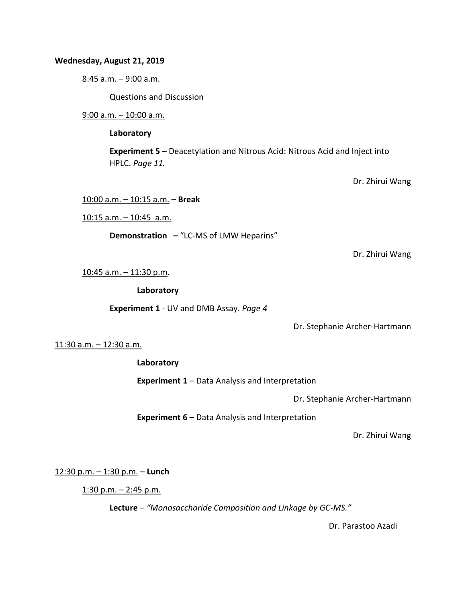## **Wednesday, August 21, 2019**

8:45 a.m. – 9:00 a.m.

Questions and Discussion

9:00 a.m. – 10:00 a.m.

**Laboratory**

**Experiment 5** – Deacetylation and Nitrous Acid: Nitrous Acid and Inject into HPLC. *Page 11.*

Dr. Zhirui Wang

10:00 a.m. – 10:15 a.m. – **Break**

10:15 a.m. – 10:45 a.m.

**Demonstration –** "LC-MS of LMW Heparins"

Dr. Zhirui Wang

10:45 a.m. – 11:30 p.m.

**Laboratory**

**Experiment 1** - UV and DMB Assay. *Page 4*

Dr. Stephanie Archer-Hartmann

11:30 a.m. – 12:30 a.m.

**Laboratory**

**Experiment 1** – Data Analysis and Interpretation

Dr. Stephanie Archer-Hartmann

**Experiment 6** – Data Analysis and Interpretation

Dr. Zhirui Wang

12:30 p.m. – 1:30 p.m. – **Lunch**

1:30 p.m.  $-$  2:45 p.m.

**Lecture** *– "Monosaccharide Composition and Linkage by GC-MS."*

Dr. Parastoo Azadi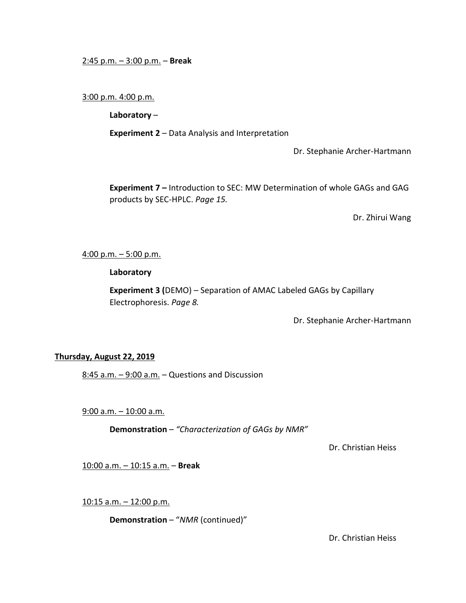## 2:45 p.m. – 3:00 p.m. – **Break**

## 3:00 p.m. 4:00 p.m.

**Laboratory** –

**Experiment 2** – Data Analysis and Interpretation

Dr. Stephanie Archer-Hartmann

**Experiment 7 –** Introduction to SEC: MW Determination of whole GAGs and GAG products by SEC-HPLC. *Page 15.*

Dr. Zhirui Wang

## 4:00 p.m. – 5:00 p.m.

## **Laboratory**

**Experiment 3 (**DEMO) – Separation of AMAC Labeled GAGs by Capillary Electrophoresis. *Page 8.*

Dr. Stephanie Archer-Hartmann

## **Thursday, August 22, 2019**

 $8:45$  a.m.  $-9:00$  a.m.  $-$  Questions and Discussion

9:00 a.m. – 10:00 a.m.

**Demonstration** – *"Characterization of GAGs by NMR"*

Dr. Christian Heiss

10:00 a.m. – 10:15 a.m. – **Break**

10:15 a.m. – 12:00 p.m.

**Demonstration** – "*NMR* (continued)"

Dr. Christian Heiss